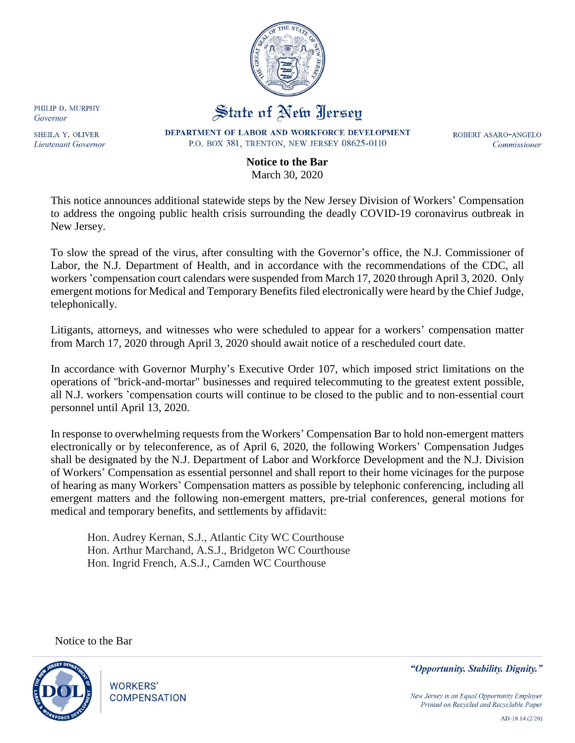

## State of New Jersey

DEPARTMENT OF LABOR AND WORKFORCE DEVELOPMENT P.O. BOX 381, TRENTON, NEW JERSEY 08625-0110

ROBERT ASARO-ANGELO Commissioner

## **Notice to the Bar** March 30, 2020

This notice announces additional statewide steps by the New Jersey Division of Workers' Compensation to address the ongoing public health crisis surrounding the deadly COVID-19 coronavirus outbreak in New Jersey.

To slow the spread of the virus, after consulting with the Governor's office, the N.J. Commissioner of Labor, the N.J. Department of Health, and in accordance with the recommendations of the CDC, all workers 'compensation court calendars were suspended from March 17, 2020 through April 3, 2020. Only emergent motions for Medical and Temporary Benefits filed electronically were heard by the Chief Judge, telephonically.

Litigants, attorneys, and witnesses who were scheduled to appear for a workers' compensation matter from March 17, 2020 through April 3, 2020 should await notice of a rescheduled court date.

In accordance with Governor Murphy's Executive Order 107, which imposed strict limitations on the operations of "brick-and-mortar" businesses and required telecommuting to the greatest extent possible, all N.J. workers 'compensation courts will continue to be closed to the public and to non-essential court personnel until April 13, 2020.

In response to overwhelming requests from the Workers' Compensation Bar to hold non-emergent matters electronically or by teleconference, as of April 6, 2020, the following Workers' Compensation Judges shall be designated by the N.J. Department of Labor and Workforce Development and the N.J. Division of Workers' Compensation as essential personnel and shall report to their home vicinages for the purpose of hearing as many Workers' Compensation matters as possible by telephonic conferencing, including all emergent matters and the following non-emergent matters, pre-trial conferences, general motions for medical and temporary benefits, and settlements by affidavit:

 Hon. Audrey Kernan, S.J., Atlantic City WC Courthouse Hon. Arthur Marchand, A.S.J., Bridgeton WC Courthouse Hon. Ingrid French, A.S.J., Camden WC Courthouse

Notice to the Bar



PHILIP D. MURPHY

SHEILA Y. OLIVER

Lieutenant Governor

Governor

**WORKERS' COMPENSATION**  "Opportunity. Stability. Dignity."

New Jersey is an Equal Opportunity Employer Printed on Recycled and Recyclable Paper